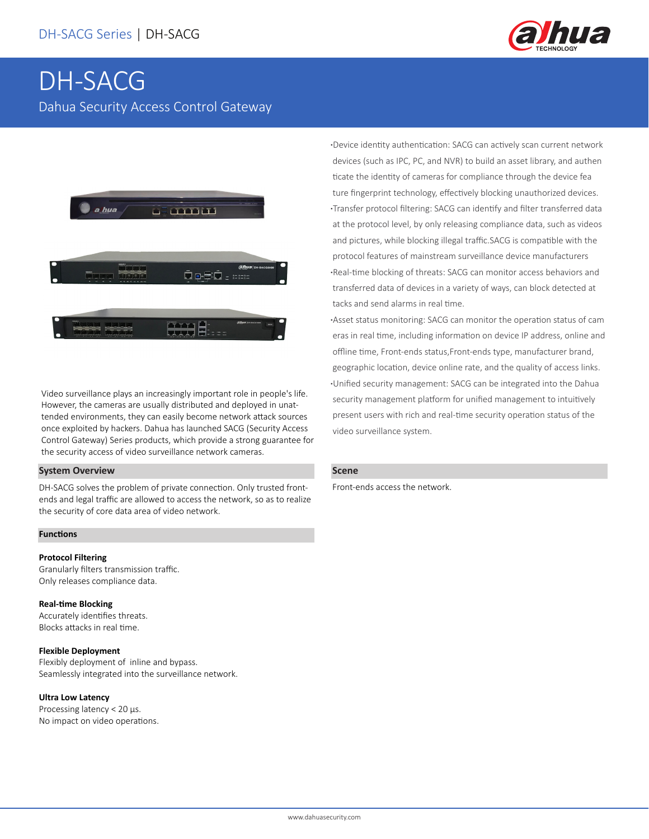

# DH-SACG Dahua Security Access Control Gateway



Video surveillance plays an increasingly important role in people's life. However, the cameras are usually distributed and deployed in unattended environments, they can easily become network attack sources once exploited by hackers. Dahua has launched SACG (Security Access Control Gateway) Series products, which provide a strong guarantee for the security access of video surveillance network cameras.

# **System Overview**

DH-SACG solves the problem of private connection. Only trusted frontends and legal traffic are allowed to access the network, so as to realize the security of core data area of video network.

#### **Functions**

## **Protocol Filtering**

Granularly filters transmission traffic. Only releases compliance data.

#### **Real-time Blocking**

Accurately identifies threats. Blocks attacks in real time.

#### **Flexible Deployment**

Flexibly deployment of inline and bypass. Seamlessly integrated into the surveillance network.

#### **Ultra Low Latency**

Processing latency < 20 μs. No impact on video operations. **·**Device identity authentication: SACG can actively scan current network devices (such as IPC, PC, and NVR) to build an asset library, and authen ticate the identity of cameras for compliance through the device fea ture fingerprint technology, effectively blocking unauthorized devices. **·**Transfer protocol filtering: SACG can identify and filter transferred data at the protocol level, by only releasing compliance data, such as videos and pictures, while blocking illegal traffic.SACG is compatible with the protocol features of mainstream surveillance device manufacturers **·**Real-time blocking of threats: SACG can monitor access behaviors and transferred data of devices in a variety of ways, can block detected at tacks and send alarms in real time.

**·**Asset status monitoring: SACG can monitor the operation status of cam eras in real time, including information on device IP address, online and offline time, Front-ends status,Front-ends type, manufacturer brand, geographic location, device online rate, and the quality of access links. **·**Unified security management: SACG can be integrated into the Dahua security management platform for unified management to intuitively present users with rich and real-time security operation status of the video surveillance system.

#### **Scene**

Front-ends access the network.